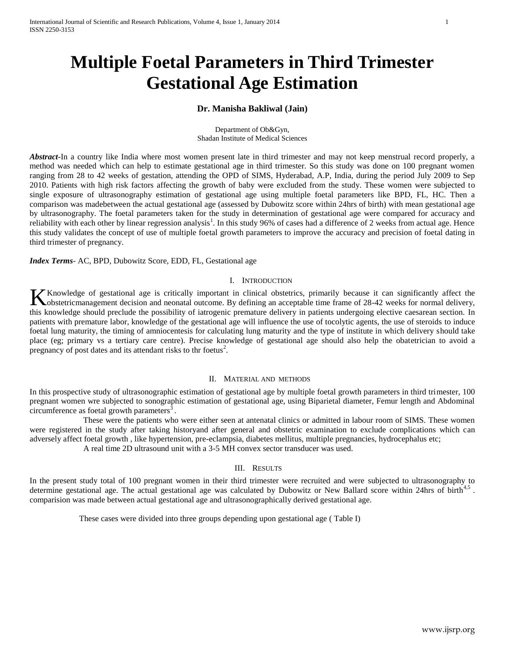# **Multiple Foetal Parameters in Third Trimester Gestational Age Estimation**

## **Dr. Manisha Bakliwal (Jain)**

Department of Ob&Gyn, Shadan Institute of Medical Sciences

*Abstract***-**In a country like India where most women present late in third trimester and may not keep menstrual record properly, a method was needed which can help to estimate gestational age in third trimester. So this study was done on 100 pregnant women ranging from 28 to 42 weeks of gestation, attending the OPD of SIMS, Hyderabad, A.P, India, during the period July 2009 to Sep 2010. Patients with high risk factors affecting the growth of baby were excluded from the study. These women were subjected to single exposure of ultrasonography estimation of gestational age using multiple foetal parameters like BPD, FL, HC. Then a comparison was madebetween the actual gestational age (assessed by Dubowitz score within 24hrs of birth) with mean gestational age by ultrasonography. The foetal parameters taken for the study in determination of gestational age were compared for accuracy and reliability with each other by linear regression analysis<sup>1</sup>. In this study 96% of cases had a difference of 2 weeks from actual age. Hence this study validates the concept of use of multiple foetal growth parameters to improve the accuracy and precision of foetal dating in third trimester of pregnancy.

*Index Terms*- AC, BPD, Dubowitz Score, EDD, FL, Gestational age

## I. INTRODUCTION

Knowledge of gestational age is critically important in clinical obstetrics, primarily because it can significantly affect the Knowledge of gestational age is critically important in clinical obstetrics, primarily because it can significantly affect the obstetricmanagement decision and neonatal outcome. By defining an acceptable time frame of 28-4 this knowledge should preclude the possibility of iatrogenic premature delivery in patients undergoing elective caesarean section. In patients with premature labor, knowledge of the gestational age will influence the use of tocolytic agents, the use of steroids to induce foetal lung maturity, the timing of amniocentesis for calculating lung maturity and the type of institute in which delivery should take place (eg; primary vs a tertiary care centre). Precise knowledge of gestational age should also help the obatetrician to avoid a pregnancy of post dates and its attendant risks to thr foetus<sup>2</sup>.

## II. MATERIAL AND METHODS

In this prospective study of ultrasonographic estimation of gestational age by multiple foetal growth parameters in third trimester, 100 pregnant women wre subjected to sonographic estimation of gestational age, using Biparietal diameter, Femur length and Abdominal circumference as foetal growth parameters $^3$ .

 These were the patients who were either seen at antenatal clinics or admitted in labour room of SIMS. These women were registered in the study after taking historyand after general and obstetric examination to exclude complications which can adversely affect foetal growth , like hypertension, pre-eclampsia, diabetes mellitus, multiple pregnancies, hydrocephalus etc;

A real time 2D ultrasound unit with a 3-5 MH convex sector transducer was used.

## III. RESULTS

In the present study total of 100 pregnant women in their third trimester were recruited and were subjected to ultrasonography to determine gestational age. The actual gestational age was calculated by Dubowitz or New Ballard score within 24hrs of birth $4.5$ . comparision was made between actual gestational age and ultrasonographically derived gestational age.

These cases were divided into three groups depending upon gestational age ( Table I)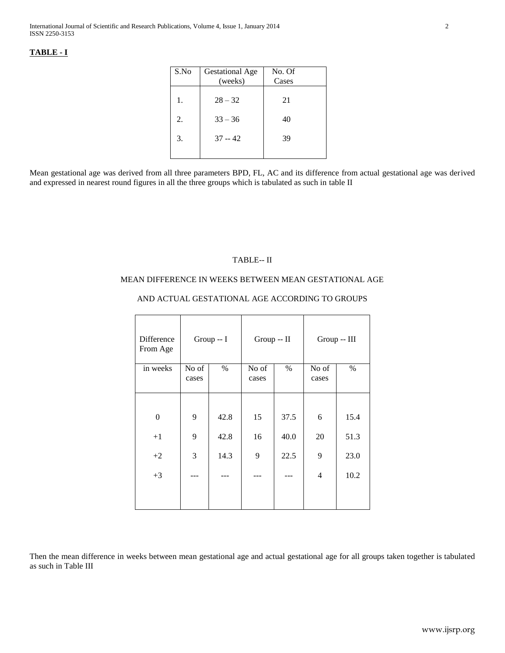# **TABLE - I**

| S.No | <b>Gestational Age</b><br>(weeks) | No. Of<br>Cases |
|------|-----------------------------------|-----------------|
| 1.   | $28 - 32$                         | 21              |
| 2.   | $33 - 36$                         | 40              |
| 3.   | $37 - 42$                         | 39              |
|      |                                   |                 |

Mean gestational age was derived from all three parameters BPD, FL, AC and its difference from actual gestational age was derived and expressed in nearest round figures in all the three groups which is tabulated as such in table II

## TABLE-- II

## MEAN DIFFERENCE IN WEEKS BETWEEN MEAN GESTATIONAL AGE

# AND ACTUAL GESTATIONAL AGE ACCORDING TO GROUPS

| Difference<br>From Age | Group -- I |      | Group -- II |      | Group -- III |      |
|------------------------|------------|------|-------------|------|--------------|------|
| in weeks               | No of      | $\%$ | No of       | $\%$ | No of        | $\%$ |
|                        | cases      |      | cases       |      | cases        |      |
|                        |            |      |             |      |              |      |
|                        |            |      |             |      |              |      |
| $\boldsymbol{0}$       | 9          | 42.8 | 15          | 37.5 | 6            | 15.4 |
| $+1$                   | 9          | 42.8 | 16          | 40.0 | 20           | 51.3 |
| $+2$                   | 3          | 14.3 | 9           | 22.5 | 9            | 23.0 |
| $+3$                   |            |      |             |      | 4            | 10.2 |
|                        |            |      |             |      |              |      |

Then the mean difference in weeks between mean gestational age and actual gestational age for all groups taken together is tabulated as such in Table III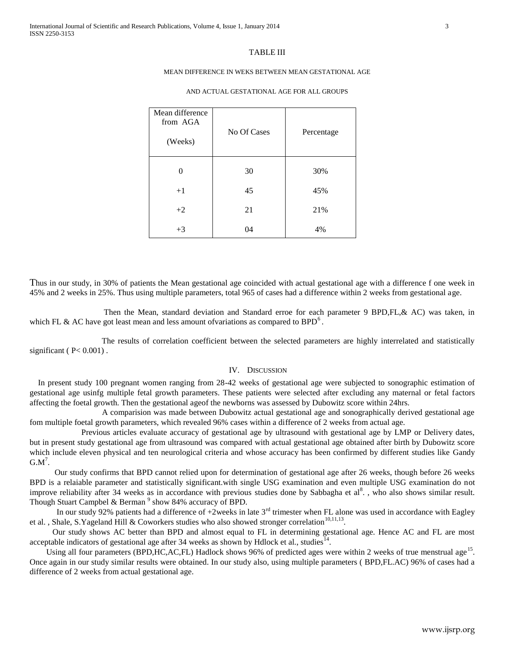#### TABLE III

## MEAN DIFFERENCE IN WEKS BETWEEN MEAN GESTATIONAL AGE

| Mean difference<br>from AGA<br>(Weeks) | No Of Cases | Percentage |
|----------------------------------------|-------------|------------|
| 0                                      | 30          | 30%        |
| $+1$                                   | 45          | 45%        |
| $+2$                                   | 21          | 21%        |
| $+3$                                   | 04          | 4%         |

#### AND ACTUAL GESTATIONAL AGE FOR ALL GROUPS

Thus in our study, in 30% of patients the Mean gestational age coincided with actual gestational age with a difference f one week in 45% and 2 weeks in 25%. Thus using multiple parameters, total 965 of cases had a difference within 2 weeks from gestational age.

 Then the Mean, standard deviation and Standard erroe for each parameter 9 BPD,FL,& AC) was taken, in which FL & AC have got least mean and less amount of variations as compared to BPD<sup>6</sup>.

 The results of correlation coefficient between the selected parameters are highly interrelated and statistically significant ( $P < 0.001$ ).

## IV. DISCUSSION

In present study 100 pregnant women ranging from 28-42 weeks of gestational age were subjected to sonographic estimation of gestational age usinfg multiple fetal growth parameters. These patients were selected after excluding any maternal or fetal factors affecting the foetal growth. Then the gestational ageof the newborns was assessed by Dubowitz score within 24hrs.

 A comparision was made between Dubowitz actual gestational age and sonographically derived gestational age fom multiple foetal growth parameters, which revealed 96% cases within a difference of 2 weeks from actual age.

 Previous articles evaluate accuracy of gestational age by ultrasound with gestational age by LMP or Delivery dates, but in present study gestational age from ultrasound was compared with actual gestational age obtained after birth by Dubowitz score which include eleven physical and ten neurological criteria and whose accuracy has been confirmed by different studies like Gandy  $GM^7$ .

 Our study confirms that BPD cannot relied upon for determination of gestational age after 26 weeks, though before 26 weeks BPD is a relaiable parameter and statistically significant.with single USG examination and even multiple USG examination do not improve reliability after 34 weeks as in accordance with previous studies done by Sabbagha et al<sup>8</sup>., who also shows similar result. Though Stuart Campbel & Berman<sup>9</sup> show 84% accuracy of BPD.

In our study 92% patients had a difference of  $+2$ weeks in late  $3<sup>rd</sup>$  trimester when FL alone was used in accordance with Eagley et al. , Shale, S.Yageland Hill & Coworkers studies who also showed stronger correlation<sup>10,11,13</sup>.

 Our study shows AC better than BPD and almost equal to FL in determining gestational age. Hence AC and FL are most acceptable indicators of gestational age after 34 weeks as shown by Hdlock et al., studies<sup>14</sup>.

Using all four parameters (BPD,HC,AC,FL) Hadlock shows 96% of predicted ages were within 2 weeks of true menstrual age<sup>15</sup>. Once again in our study similar results were obtained. In our study also, using multiple parameters ( BPD,FL.AC) 96% of cases had a difference of 2 weeks from actual gestational age.